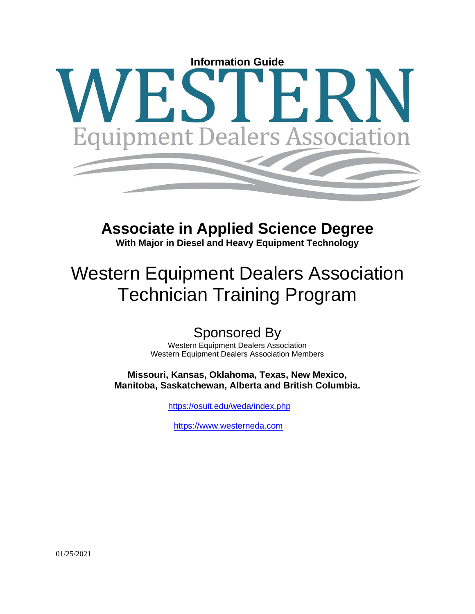# **Information Guide** ipment Dealers Associatio

# **Associate in Applied Science Degree**

**With Major in Diesel and Heavy Equipment Technology**

# Western Equipment Dealers Association Technician Training Program

# Sponsored By

Western Equipment Dealers Association Western Equipment Dealers Association Members

**Missouri, Kansas, Oklahoma, Texas, New Mexico, Manitoba, Saskatchewan, Alberta and British Columbia.**

<https://osuit.edu/weda/index.php>

[https://www.westerneda.com](https://www.westerneda.com/)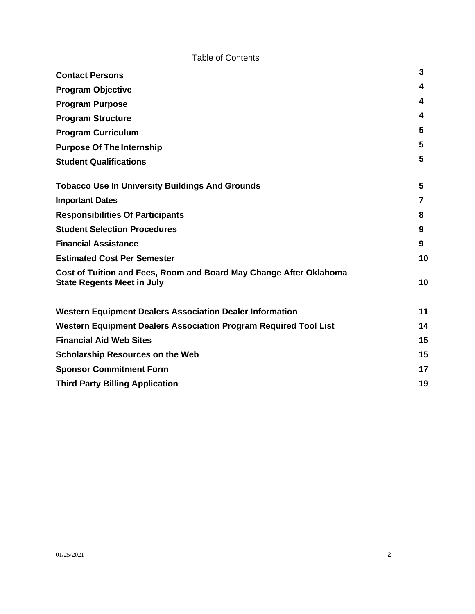# Table of Contents

| <b>Contact Persons</b>                                                                                  | 3  |
|---------------------------------------------------------------------------------------------------------|----|
| <b>Program Objective</b>                                                                                | 4  |
| <b>Program Purpose</b>                                                                                  | 4  |
| <b>Program Structure</b>                                                                                | 4  |
| <b>Program Curriculum</b>                                                                               | 5  |
| <b>Purpose Of The Internship</b>                                                                        | 5  |
| <b>Student Qualifications</b>                                                                           | 5  |
| <b>Tobacco Use In University Buildings And Grounds</b>                                                  | 5  |
| <b>Important Dates</b>                                                                                  | 7  |
| <b>Responsibilities Of Participants</b>                                                                 | 8  |
| <b>Student Selection Procedures</b>                                                                     | 9  |
| <b>Financial Assistance</b>                                                                             | 9  |
| <b>Estimated Cost Per Semester</b>                                                                      | 10 |
| Cost of Tuition and Fees, Room and Board May Change After Oklahoma<br><b>State Regents Meet in July</b> | 10 |
| <b>Western Equipment Dealers Association Dealer Information</b>                                         | 11 |
| Western Equipment Dealers Association Program Required Tool List                                        | 14 |
| <b>Financial Aid Web Sites</b>                                                                          | 15 |
| <b>Scholarship Resources on the Web</b>                                                                 | 15 |
| <b>Sponsor Commitment Form</b>                                                                          | 17 |
| <b>Third Party Billing Application</b>                                                                  | 19 |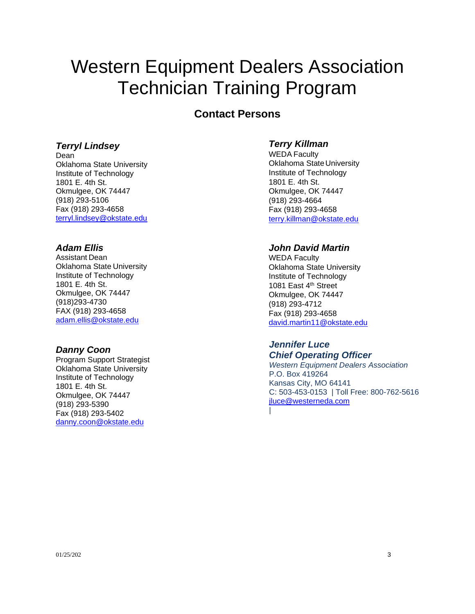# Western Equipment Dealers Association Technician Training Program

# **Contact Persons**

#### *Terryl Lindsey*

Dean Oklahoma State University Institute of Technology 1801 E. 4th St. Okmulgee, OK 74447 (918) 293-5106 Fax (918) 293-4658 [terryl.lindsey@okstate.edu](mailto:terryl.lindsey@okstate.edu)

#### *Adam Ellis*

Assistant Dean Oklahoma State University Institute of Technology 1801 E. 4th St. Okmulgee, OK 74447 (918)293-4730 FAX (918) 293-4658 [adam.ellis@okstate.edu](mailto:adam.ellis@okstate.edu)

## *Danny Coon*

Program Support Strategist Oklahoma State University Institute of Technology 1801 E. 4th St. Okmulgee, OK 74447 (918) 293-5390 [Fax \(918\) 293-5402](mailto:terry.killman@okstate.edu) [danny.coon@okstate.edu](mailto:danny.coon@okstate.edu)

### <span id="page-2-0"></span>*Terry Killman*

WEDA Faculty Oklahoma StateUniversity Institute of Technology 1801 E. 4th St. Okmulgee, OK 74447 (918) 293-4664 Fax (918) 293-4658 [terry.killman@okstate.edu](mailto:terry.killman@okstate.edu)

### *John David Martin*

WEDA Faculty Oklahoma State University Institute of Technology 1081 East 4<sup>th</sup> Street Okmulgee, OK 74447 (918) 293-4712 Fax (918) 293-4658 [david.martin11@okstate.edu](mailto:david.martin11@okstate.edu)

#### *Jennifer Luce Chief Operating Officer*

*Western Equipment Dealers Association* P.O. Box 419264 Kansas City, MO 64141 C: 503-453-0153 | Toll Free: 800-762-5616 [jluce@westerneda.com](mailto:jluce@westerneda.com) |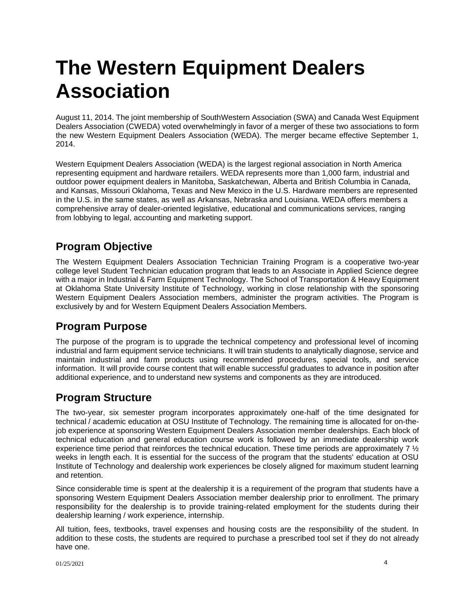# **The Western Equipment Dealers Association**

August 11, 2014. The joint membership of SouthWestern Association (SWA) and Canada West Equipment Dealers Association (CWEDA) voted overwhelmingly in favor of a merger of these two associations to form the new Western Equipment Dealers Association (WEDA). The merger became effective September 1, 2014.

Western Equipment Dealers Association (WEDA) is the largest regional association in North America representing equipment and hardware retailers. WEDA represents more than 1,000 farm, industrial and outdoor power equipment dealers in Manitoba, Saskatchewan, Alberta and British Columbia in Canada, and Kansas, Missouri Oklahoma, Texas and New Mexico in the U.S. Hardware members are represented in the U.S. in the same states, as well as Arkansas, Nebraska and Louisiana. WEDA offers members a comprehensive array of dealer-oriented legislative, educational and communications services, ranging from lobbying to legal, accounting and marketing support.

# <span id="page-3-0"></span>**Program Objective**

The Western Equipment Dealers Association Technician Training Program is a cooperative two-year college level Student Technician education program that leads to an Associate in Applied Science degree with a major in Industrial & Farm Equipment Technology. The School of Transportation & Heavy Equipment at Oklahoma State University Institute of Technology, working in close relationship with the sponsoring Western Equipment Dealers Association members, administer the program activities. The Program is exclusively by and for Western Equipment Dealers Association Members.

# <span id="page-3-1"></span>**Program Purpose**

<span id="page-3-2"></span>The purpose of the program is to upgrade the technical competency and professional level of incoming industrial and farm equipment service technicians. It will train students to analytically diagnose, service and maintain industrial and farm products using recommended procedures, special tools, and service information. It will provide course content that will enable successful graduates to advance in position after additional experience, and to understand new systems and components as they are introduced.

# **Program Structure**

The two-year, six semester program incorporates approximately one-half of the time designated for technical / academic education at OSU Institute of Technology. The remaining time is allocated for on-thejob experience at sponsoring Western Equipment Dealers Association member dealerships. Each block of technical education and general education course work is followed by an immediate dealership work experience time period that reinforces the technical education. These time periods are approximately 7  $\frac{1}{2}$ weeks in length each. It is essential for the success of the program that the students' education at OSU Institute of Technology and dealership work experiences be closely aligned for maximum student learning and retention.

Since considerable time is spent at the dealership it is a requirement of the program that students have a sponsoring Western Equipment Dealers Association member dealership prior to enrollment. The primary responsibility for the dealership is to provide training-related employment for the students during their dealership learning / work experience, internship.

All tuition, fees, textbooks, travel expenses and housing costs are the responsibility of the student. In addition to these costs, the students are required to purchase a prescribed tool set if they do not already have one.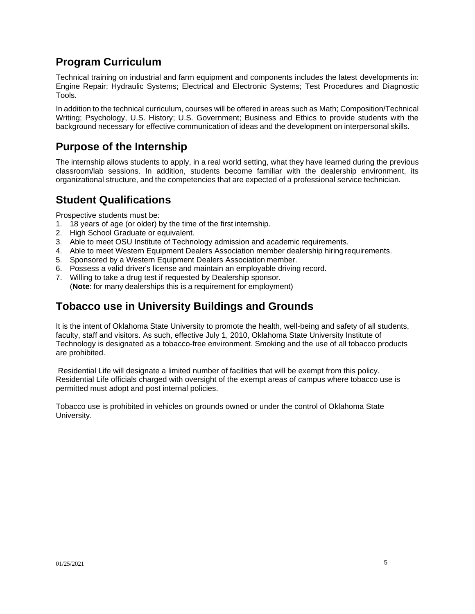# <span id="page-4-0"></span>**Program Curriculum**

Technical training on industrial and farm equipment and components includes the latest developments in: Engine Repair; Hydraulic Systems; Electrical and Electronic Systems; Test Procedures and Diagnostic Tools.

<span id="page-4-1"></span>In addition to the technical curriculum, courses will be offered in areas such as Math; Composition/Technical Writing; Psychology, U.S. History; U.S. Government; Business and Ethics to provide students with the background necessary for effective communication of ideas and the development on interpersonal skills.

# **Purpose of the Internship**

The internship allows students to apply, in a real world setting, what they have learned during the previous classroom/lab sessions. In addition, students become familiar with the dealership environment, its organizational structure, and the competencies that are expected of a professional service technician.

# <span id="page-4-2"></span>**Student Qualifications**

Prospective students must be:

- 1. 18 years of age (or older) by the time of the first internship.
- 2. High School Graduate or equivalent.
- 3. Able to meet OSU Institute of Technology admission and academic requirements.
- 4. Able to meet Western Equipment Dealers Association member dealership hiring requirements.
- 5. Sponsored by a Western Equipment Dealers Association member.
- 6. Possess a valid driver's license and maintain an employable driving record.
- <span id="page-4-3"></span>7. Willing to take a drug test if requested by Dealership sponsor. (**Note**: for many dealerships this is a requirement for employment)

# **Tobacco use in University Buildings and Grounds**

It is the intent of Oklahoma State University to promote the health, well-being and safety of all students, faculty, staff and visitors. As such, effective July 1, 2010, Oklahoma State University Institute of Technology is designated as a tobacco-free environment. Smoking and the use of all tobacco products are prohibited.

Residential Life will designate a limited number of facilities that will be exempt from this policy. Residential Life officials charged with oversight of the exempt areas of campus where tobacco use is permitted must adopt and post internal policies.

Tobacco use is prohibited in vehicles on grounds owned or under the control of Oklahoma State University.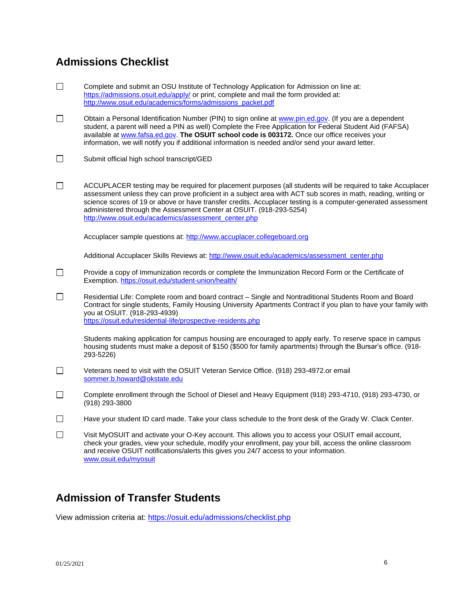# **Admissions Checklist**

- $\Box$ Complete and submit an OSU Institute of Technology Application for Admission on line at: <https://admissions.osuit.edu/apply/> or print, complete and mail the form provided at: [http://www.osuit.edu/academics/forms/admissions\\_packet.pdf](http://www.osuit.edu/academics/forms/admissions_packet.pdf)
- $\Box$ Obtain a Personal Identification Number (PIN) to sign online at [www.pin.ed.gov. \(](http://www.pin.ed.gov/)If you are a dependent student, a parent will need a PIN as well) Complete the Free Application for Federal Student Aid (FAFSA) available at [www.fafsa.ed.gov.](http://www.fafsa.ed.gov/) **The OSUIT school code is 003172.** Once our office receives your information, we will notify you if additional information is needed and/or send your award letter.
- $\overline{\phantom{a}}$ Submit official high school transcript/GED
- $\Box$ ACCUPLACER testing may be required for placement purposes (all students will be required to take Accuplacer assessment unless they can prove proficient in a subject area with ACT sub scores in math, reading, writing or science scores of 19 or above or have transfer credits. Accuplacer testing is a computer-generated assessment administered through the Assessment Center at OSUIT. (918-293-5254) [http://www.osuit.edu/academics/assessment\\_center.php](http://www.osuit.edu/academics/assessment_center.php)

Accuplacer sample questions at: [http://www.accuplacer.collegeboard.org](http://www.accuplacer.collegeboard.org/)

Additional Accuplacer Skills Reviews at[: http://www.osuit.edu/academics/assessment\\_center.php](http://www.osuit.edu/academics/assessment_center.php)

- $\Box$ Provide a copy of Immunization records or complete the Immunization Record Form or the Certificate of Exemption[. https://osuit.edu/student-union/health/](https://osuit.edu/student-union/health/)
- $\Box$ Residential Life: Complete room and board contract – Single and Nontraditional Students Room and Board Contract for single students, Family Housing University Apartments Contract if you plan to have your family with you at OSUIT. (918-293-4939) <https://osuit.edu/residential-life/prospective-residents.php>

Students making application for campus housing are encouraged to apply early. To reserve space in campus housing students must make a deposit of \$150 (\$500 for family apartments) through the Bursar's office. (918- 293-5226)

- $\Box$ Veterans need to visit with the OSUIT Veteran Service Office. (918) [293-4972.or e](https://293-4972.or/)mail [sommer.b.howard@okstate.edu](mailto:sommer.b.howard@okstate.edu)
- $\Box$ Complete enrollment through the School of Diesel and Heavy Equipment (918) 293-4710, (918) 293-4730, or (918) 293-3800
- $\Box$ Have your student ID card made. Take your class schedule to the front desk of the Grady W. Clack Center.
- $\Box$ Visit MyOSUIT and activate your O-Key account. This allows you to access your OSUIT email account, check your grades, view your schedule, modify your enrollment, pay your bill, access the online classroom and receive OSUIT notifications/alerts this gives you 24/7 access to your information. [www.osuit.edu/myosuit](http://www.osuit.edu/myosuit)

# **Admission of Transfer Students**

View admission criteria at:<https://osuit.edu/admissions/checklist.php>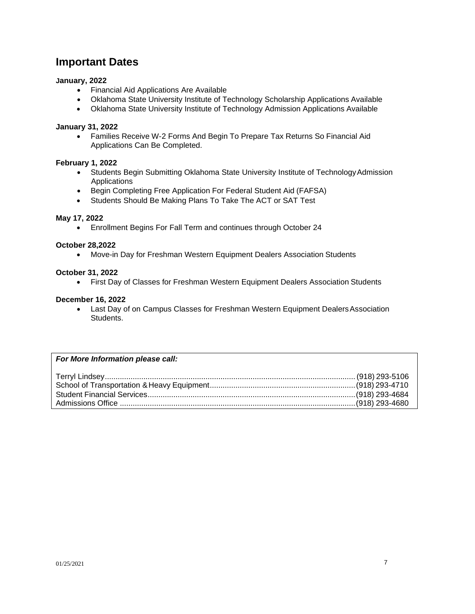# <span id="page-6-0"></span>**Important Dates**

#### **January, 2022**

- Financial Aid Applications Are Available
- Oklahoma State University Institute of Technology Scholarship Applications Available
- Oklahoma State University Institute of Technology Admission Applications Available

#### **January 31, 2022**

• Families Receive W-2 Forms And Begin To Prepare Tax Returns So Financial Aid Applications Can Be Completed.

#### **February 1, 2022**

- Students Begin Submitting Oklahoma State University Institute of TechnologyAdmission Applications
- Begin Completing Free Application For Federal Student Aid (FAFSA)
- Students Should Be Making Plans To Take The ACT or SAT Test

#### **May 17, 2022**

• Enrollment Begins For Fall Term and continues through October 24

#### **October 28,2022**

• Move-in Day for Freshman Western Equipment Dealers Association Students

#### **October 31, 2022**

• First Day of Classes for Freshman Western Equipment Dealers Association Students

#### **December 16, 2022**

• Last Day of on Campus Classes for Freshman Western Equipment Dealers Association Students.

#### *For More Information please call:*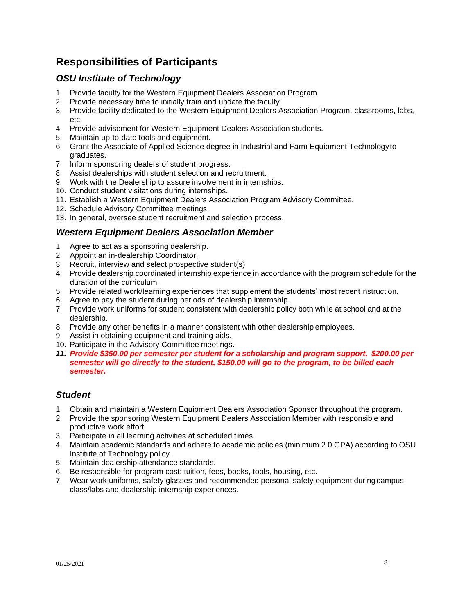# <span id="page-7-0"></span>**Responsibilities of Participants**

# *OSU Institute of Technology*

- 1. Provide faculty for the Western Equipment Dealers Association Program
- 2. Provide necessary time to initially train and update the faculty
- 3. Provide facility dedicated to the Western Equipment Dealers Association Program, classrooms, labs,  $Ar$
- 4. Provide advisement for Western Equipment Dealers Association students.
- 5. Maintain up-to-date tools and equipment.
- 6. Grant the Associate of Applied Science degree in Industrial and Farm Equipment Technologyto graduates.
- 7. Inform sponsoring dealers of student progress.
- 8. Assist dealerships with student selection and recruitment.
- 9. Work with the Dealership to assure involvement in internships.
- 10. Conduct student visitations during internships.
- 11. Establish a Western Equipment Dealers Association Program Advisory Committee.
- 12. Schedule Advisory Committee meetings.
- 13. In general, oversee student recruitment and selection process.

## *Western Equipment Dealers Association Member*

- 1. Agree to act as a sponsoring dealership.
- 2. Appoint an in-dealership Coordinator.
- 3. Recruit, interview and select prospective student(s)
- 4. Provide dealership coordinated internship experience in accordance with the program schedule for the duration of the curriculum.
- 5. Provide related work/learning experiences that supplement the students' most recentinstruction.
- 6. Agree to pay the student during periods of dealership internship.
- 7. Provide work uniforms for student consistent with dealership policy both while at school and at the dealership.
- 8. Provide any other benefits in a manner consistent with other dealership employees.
- 9. Assist in obtaining equipment and training aids.
- 10. Participate in the Advisory Committee meetings.
- *11. Provide \$350.00 per semester per student for a scholarship and program support. \$200.00 per semester will go directly to the student, \$150.00 will go to the program, to be billed each semester.*

## *Student*

- 1. Obtain and maintain a Western Equipment Dealers Association Sponsor throughout the program.
- 2. Provide the sponsoring Western Equipment Dealers Association Member with responsible and productive work effort.
- 3. Participate in all learning activities at scheduled times.
- 4. Maintain academic standards and adhere to academic policies (minimum 2.0 GPA) according to OSU Institute of Technology policy.
- 5. Maintain dealership attendance standards.
- 6. Be responsible for program cost: tuition, fees, books, tools, housing, etc.
- 7. Wear work uniforms, safety glasses and recommended personal safety equipment duringcampus class/labs and dealership internship experiences.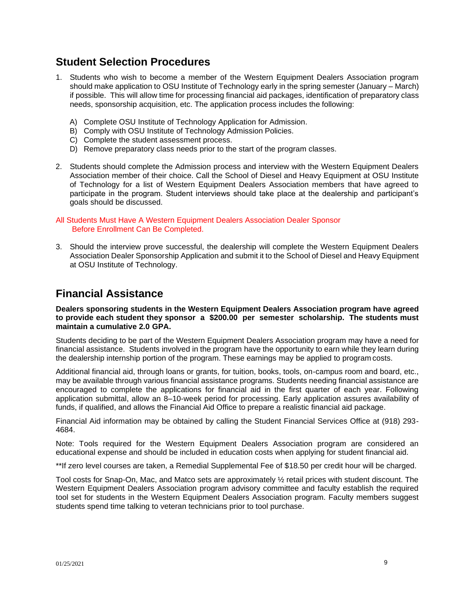# <span id="page-8-0"></span>**Student Selection Procedures**

- 1. Students who wish to become a member of the Western Equipment Dealers Association program should make application to OSU Institute of Technology early in the spring semester (January – March) if possible. This will allow time for processing financial aid packages, identification of preparatory class needs, sponsorship acquisition, etc. The application process includes the following:
	- A) Complete OSU Institute of Technology Application for Admission.
	- B) Comply with OSU Institute of Technology Admission Policies.
	- C) Complete the student assessment process.
	- D) Remove preparatory class needs prior to the start of the program classes.
- 2. Students should complete the Admission process and interview with the Western Equipment Dealers Association member of their choice. Call the School of Diesel and Heavy Equipment at OSU Institute of Technology for a list of Western Equipment Dealers Association members that have agreed to participate in the program. Student interviews should take place at the dealership and participant's goals should be discussed.

#### All Students Must Have A Western Equipment Dealers Association Dealer Sponsor Before Enrollment Can Be Completed.

3. Should the interview prove successful, the dealership will complete the Western Equipment Dealers Association Dealer Sponsorship Application and submit it to the School of Diesel and Heavy Equipment at OSU Institute of Technology.

# <span id="page-8-1"></span>**Financial Assistance**

#### **Dealers sponsoring students in the Western Equipment Dealers Association program have agreed to provide each student they sponsor a \$200.00 per semester scholarship. The students must maintain a cumulative 2.0 GPA.**

Students deciding to be part of the Western Equipment Dealers Association program may have a need for financial assistance. Students involved in the program have the opportunity to earn while they learn during the dealership internship portion of the program. These earnings may be applied to program costs.

Additional financial aid, through loans or grants, for tuition, books, tools, on-campus room and board, etc., may be available through various financial assistance programs. Students needing financial assistance are encouraged to complete the applications for financial aid in the first quarter of each year. Following application submittal, allow an 8–10-week period for processing. Early application assures availability of funds, if qualified, and allows the Financial Aid Office to prepare a realistic financial aid package.

Financial Aid information may be obtained by calling the Student Financial Services Office at (918) 293- 4684.

Note: Tools required for the Western Equipment Dealers Association program are considered an educational expense and should be included in education costs when applying for student financial aid.

\*\*If zero level courses are taken, a Remedial Supplemental Fee of \$18.50 per credit hour will be charged.

Tool costs for Snap-On, Mac, and Matco sets are approximately ½ retail prices with student discount. The Western Equipment Dealers Association program advisory committee and faculty establish the required tool set for students in the Western Equipment Dealers Association program. Faculty members suggest students spend time talking to veteran technicians prior to tool purchase.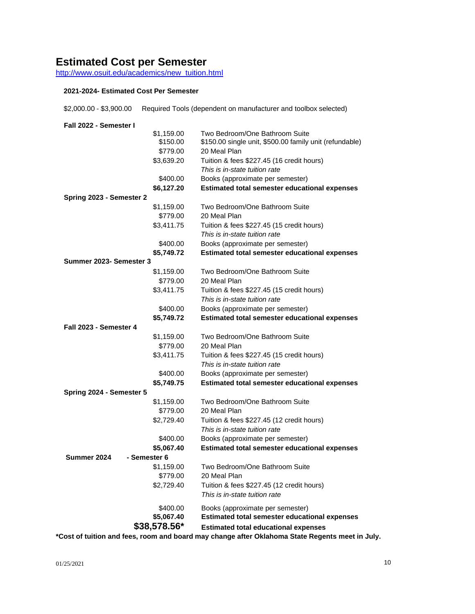# <span id="page-9-0"></span>**Estimated Cost per Semester**

[http://www.osuit.edu/academics/new\\_tuition.html](http://www.osuit.edu/academics/new_tuition.html)

#### **2021-2024- Estimated Cost Per Semester**

| \$2,000.00 - \$3,900.00  |              | Required Tools (dependent on manufacturer and toolbox selected) |
|--------------------------|--------------|-----------------------------------------------------------------|
| Fall 2022 - Semester I   |              |                                                                 |
|                          | \$1,159.00   | Two Bedroom/One Bathroom Suite                                  |
|                          | \$150.00     | \$150.00 single unit, \$500.00 family unit (refundable)         |
|                          | \$779.00     | 20 Meal Plan                                                    |
|                          | \$3,639.20   | Tuition & fees \$227.45 (16 credit hours)                       |
|                          |              | This is in-state tuition rate                                   |
|                          | \$400.00     | Books (approximate per semester)                                |
|                          | \$6,127.20   | <b>Estimated total semester educational expenses</b>            |
| Spring 2023 - Semester 2 |              |                                                                 |
|                          | \$1,159.00   | Two Bedroom/One Bathroom Suite                                  |
|                          | \$779.00     | 20 Meal Plan                                                    |
|                          | \$3,411.75   | Tuition & fees \$227.45 (15 credit hours)                       |
|                          |              | This is in-state tuition rate                                   |
|                          | \$400.00     | Books (approximate per semester)                                |
|                          | \$5,749.72   | <b>Estimated total semester educational expenses</b>            |
| Summer 2023- Semester 3  |              |                                                                 |
|                          | \$1,159.00   | Two Bedroom/One Bathroom Suite                                  |
|                          | \$779.00     | 20 Meal Plan                                                    |
|                          | \$3,411.75   | Tuition & fees \$227.45 (15 credit hours)                       |
|                          |              | This is in-state tuition rate                                   |
|                          | \$400.00     | Books (approximate per semester)                                |
|                          | \$5,749.72   | <b>Estimated total semester educational expenses</b>            |
| Fall 2023 - Semester 4   |              |                                                                 |
|                          | \$1,159.00   | Two Bedroom/One Bathroom Suite                                  |
|                          | \$779.00     | 20 Meal Plan                                                    |
|                          | \$3,411.75   | Tuition & fees \$227.45 (15 credit hours)                       |
|                          |              | This is in-state tuition rate                                   |
|                          | \$400.00     | Books (approximate per semester)                                |
|                          | \$5,749.75   | <b>Estimated total semester educational expenses</b>            |
| Spring 2024 - Semester 5 |              |                                                                 |
|                          | \$1,159.00   | Two Bedroom/One Bathroom Suite                                  |
|                          | \$779.00     | 20 Meal Plan                                                    |
|                          | \$2,729.40   | Tuition & fees \$227.45 (12 credit hours)                       |
|                          |              | This is in-state tuition rate                                   |
|                          | \$400.00     | Books (approximate per semester)                                |
|                          | \$5,067.40   | <b>Estimated total semester educational expenses</b>            |
| Summer 2024              | - Semester 6 |                                                                 |
|                          | \$1,159.00   | Two Bedroom/One Bathroom Suite                                  |
|                          | \$779.00     | 20 Meal Plan                                                    |
|                          | \$2,729.40   | Tuition & fees \$227.45 (12 credit hours)                       |
|                          |              | This is in-state tuition rate                                   |
|                          | \$400.00     | Books (approximate per semester)                                |
|                          | \$5,067.40   | <b>Estimated total semester educational expenses</b>            |
|                          | \$38,578.56* | <b>Estimated total educational expenses</b>                     |

<span id="page-9-1"></span>**\*Cost of tuition and fees, room and board may change after Oklahoma State Regents meet in July.**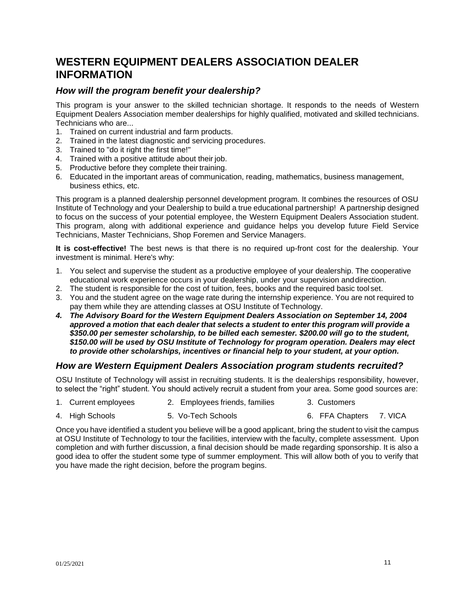# <span id="page-10-0"></span>**WESTERN EQUIPMENT DEALERS ASSOCIATION DEALER INFORMATION**

# *How will the program benefit your dealership?*

This program is your answer to the skilled technician shortage. It responds to the needs of Western Equipment Dealers Association member dealerships for highly qualified, motivated and skilled technicians. Technicians who are...

- 1. Trained on current industrial and farm products.
- 2. Trained in the latest diagnostic and servicing procedures.
- 3. Trained to "do it right the first time!"
- 4. Trained with a positive attitude about their job.
- 5. Productive before they complete their training.
- 6. Educated in the important areas of communication, reading, mathematics, business management, business ethics, etc.

This program is a planned dealership personnel development program. It combines the resources of OSU Institute of Technology and your Dealership to build a true educational partnership! A partnership designed to focus on the success of your potential employee, the Western Equipment Dealers Association student. This program, along with additional experience and guidance helps you develop future Field Service Technicians, Master Technicians, Shop Foremen and Service Managers.

**It is cost-effective!** The best news is that there is no required up-front cost for the dealership. Your investment is minimal. Here's why:

- 1. You select and supervise the student as a productive employee of your dealership. The cooperative educational work experience occurs in your dealership, under your supervision anddirection.
- 2. The student is responsible for the cost of tuition, fees, books and the required basic tool set.
- 3. You and the student agree on the wage rate during the internship experience. You are not required to pay them while they are attending classes at OSU Institute of Technology.
- *4. The Advisory Board for the Western Equipment Dealers Association on September 14, 2004 approved a motion that each dealer that selects a student to enter this program will provide a \$350.00 per semester scholarship, to be billed each semester. \$200.00 will go to the student, \$150.00 will be used by OSU Institute of Technology for program operation. Dealers may elect to provide other scholarships, incentives or financial help to your student, at your option.*

## *How are Western Equipment Dealers Association program students recruited?*

OSU Institute of Technology will assist in recruiting students. It is the dealerships responsibility, however, to select the "right" student. You should actively recruit a student from your area. Some good sources are:

- 1. Current employees 2. Employees friends, families 3. Customers
- 4. High Schools 5. Vo-Tech Schools 6. FFA Chapters 7. VICA

Once you have identified a student you believe will be a good applicant, bring the student to visit the campus at OSU Institute of Technology to tour the facilities, interview with the faculty, complete assessment. Upon completion and with further discussion, a final decision should be made regarding sponsorship. It is also a good idea to offer the student some type of summer employment. This will allow both of you to verify that you have made the right decision, before the program begins.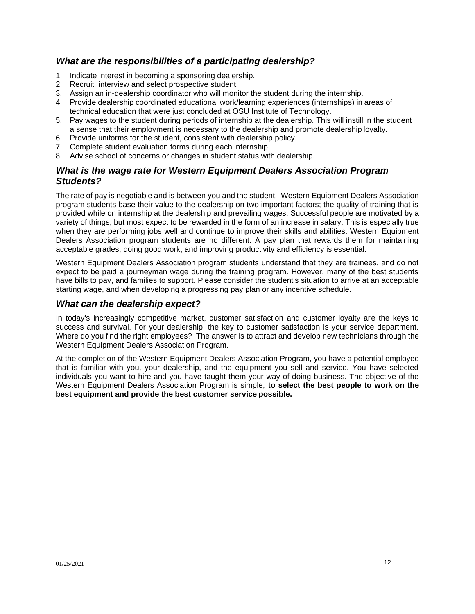# *What are the responsibilities of a participating dealership?*

- 1. Indicate interest in becoming a sponsoring dealership.
- 2. Recruit*,* interview and select prospective student.
- 3. Assign an in-dealership coordinator who will monitor the student during the internship.
- 4. Provide dealership coordinated educational work/learning experiences (internships) in areas of technical education that were just concluded at OSU Institute of Technology.
- 5. Pay wages to the student during periods of internship at the dealership. This will instill in the student a sense that their employment is necessary to the dealership and promote dealership loyalty.
- 6. Provide uniforms for the student, consistent with dealership policy.
- 7. Complete student evaluation forms during each internship.
- 8. Advise school of concerns or changes in student status with dealership.

## *What is the wage rate for Western Equipment Dealers Association Program Students?*

The rate of pay is negotiable and is between you and the student. Western Equipment Dealers Association program students base their value to the dealership on two important factors; the quality of training that is provided while on internship at the dealership and prevailing wages. Successful people are motivated by a variety of things, but most expect to be rewarded in the form of an increase in salary. This is especially true when they are performing jobs well and continue to improve their skills and abilities. Western Equipment Dealers Association program students are no different. A pay plan that rewards them for maintaining acceptable grades, doing good work, and improving productivity and efficiency is essential.

Western Equipment Dealers Association program students understand that they are trainees, and do not expect to be paid a journeyman wage during the training program. However, many of the best students have bills to pay, and families to support. Please consider the student's situation to arrive at an acceptable starting wage, and when developing a progressing pay plan or any incentive schedule.

# *What can the dealership expect?*

In today's increasingly competitive market, customer satisfaction and customer loyalty are the keys to success and survival. For your dealership, the key to customer satisfaction is your service department. Where do you find the right employees? The answer is to attract and develop new technicians through the Western Equipment Dealers Association Program.

At the completion of the Western Equipment Dealers Association Program, you have a potential employee that is familiar with you, your dealership, and the equipment you sell and service. You have selected individuals you want to hire and you have taught them your way of doing business. The objective of the Western Equipment Dealers Association Program is simple; **to select the best people to work on the best equipment and provide the best customer service possible.**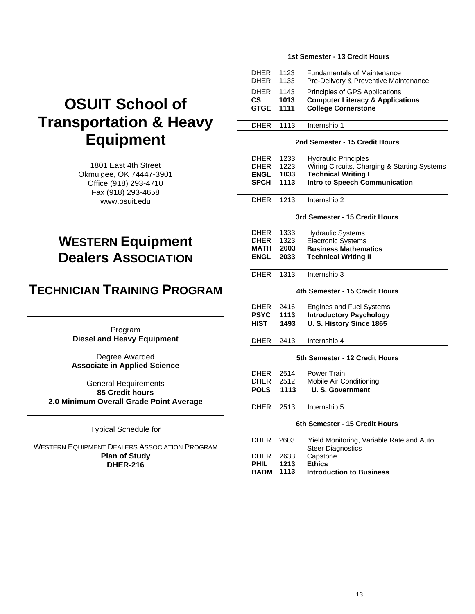# **OSUIT School of Transportation & Heavy Equipment**

1801 East 4th Street Okmulgee, OK 74447-3901 Office (918) 293-4710 Fax (918) 293-4658 [www.osuit.edu](http://www.osuit.edu/)

# **WESTERN Equipment Dealers ASSOCIATION**

# **TECHNICIAN TRAINING PROGRAM**

Program **Diesel and Heavy Equipment**

Degree Awarded **Associate in Applied Science**

General Requirements **85 Credit hours 2.0 Minimum Overall Grade Point Average**

Typical Schedule for

WESTERN EQUIPMENT DEALERS ASSOCIATION PROGRAM **Plan of Study DHER-216**

#### **1st Semester - 13 Credit Hours**

| <b>DHER</b><br><b>DHER</b>      | 1123<br>1133 | <b>Fundamentals of Maintenance</b><br>Pre-Delivery & Preventive Maintenance                                 |
|---------------------------------|--------------|-------------------------------------------------------------------------------------------------------------|
| <b>DHER</b><br>CS.<br>GTGE 1111 | 1143<br>1013 | Principles of GPS Applications<br><b>Computer Literacy &amp; Applications</b><br><b>College Cornerstone</b> |
| <b>DHER</b>                     | 1113         | Internship 1                                                                                                |

#### **2nd Semester - 15 Credit Hours**

| DHER.<br><b>DHER</b><br><b>ENGL</b><br><b>SPCH</b> | 1233<br>1223<br>1033<br>- 1113 | <b>Hydraulic Principles</b><br>Wiring Circuits, Charging & Starting Systems<br><b>Technical Writing I</b><br>Intro to Speech Communication |
|----------------------------------------------------|--------------------------------|--------------------------------------------------------------------------------------------------------------------------------------------|
| DHER.                                              | - 1213                         | Internship 2                                                                                                                               |
|                                                    |                                |                                                                                                                                            |

#### **3rd Semester - 15 Credit Hours**

| <b>DHER</b> | 1333 | <b>Hydraulic Systems</b>    |
|-------------|------|-----------------------------|
| <b>DHER</b> | 1323 | <b>Electronic Systems</b>   |
| <b>MATH</b> | 2003 | <b>Business Mathematics</b> |
| ENGL        | 2033 | <b>Technical Writing II</b> |

DHER 1313 Internship 3

#### **4th Semester - 15 Credit Hours**

| <b>DHER</b> | 2416 | <b>Engines and Fuel Systems</b> |
|-------------|------|---------------------------------|
| <b>PSYC</b> | 1113 | <b>Introductory Psychology</b>  |
| <b>HIST</b> | 1493 | U. S. History Since 1865        |

DHER 2413 Internship 4

#### **5th Semester - 12 Credit Hours**

| DHER 2514<br><b>DHER</b> 2512 | Power Train<br>Mobile Air Conditioning |
|-------------------------------|----------------------------------------|
| <b>POLS</b> 1113              | U. S. Government                       |

DHER 2513 Internship 5

#### **6th Semester - 15 Credit Hours**

| BADM      | 1113 | <b>Introduction to Business</b>          |
|-----------|------|------------------------------------------|
| PHIL      | 1213 | <b>Ethics</b>                            |
| DHER 2633 |      | Capstone                                 |
|           |      | <b>Steer Diagnostics</b>                 |
| DHER 2603 |      | Yield Monitoring, Variable Rate and Auto |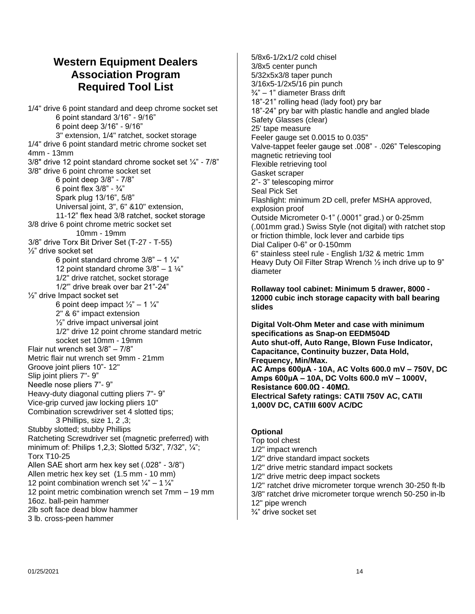# <span id="page-13-0"></span>**Western Equipment Dealers Association Program Required Tool List**

1/4" drive 6 point standard and deep chrome socket set 6 point standard 3/16" - 9/16" 6 point deep 3/16" - 9/16" 3" extension, 1/4" ratchet, socket storage 1/4" drive 6 point standard metric chrome socket set 4mm - 13mm 3/8" drive 12 point standard chrome socket set ¼" - 7/8" 3/8" drive 6 point chrome socket set 6 point deep 3/8" - 7/8" 6 point flex 3/8" - ¾" Spark plug 13/16", 5/8" Universal joint, 3", 6" &10" extension, 11-12" flex head 3/8 ratchet, socket storage 3/8 drive 6 point chrome metric socket set 10mm - 19mm 3/8" drive Torx Bit Driver Set (T-27 - T-55) ½" drive socket set 6 point standard chrome  $3/8" - 1\frac{1}{4}"$ 12 point standard chrome  $3/8" - 1 \frac{1}{4"}$ 1/2" drive ratchet, socket storage 1/2'" drive break over bar 21"-24" ½" drive Impact socket set 6 point deep impact  $\frac{1}{2}$ " – 1  $\frac{1}{4}$ " 2" & 6" impact extension ½" drive impact universal joint 1/2" drive 12 point chrome standard metric socket set 10mm - 19mm Flair nut wrench set 3/8" – 7/8" Metric flair nut wrench set 9mm - 21mm Groove joint pliers 10"- 12" Slip joint pliers 7"- 9" Needle nose pliers 7"- 9" Heavy-duty diagonal cutting pliers 7"- 9" Vice-grip curved jaw locking pliers 10" Combination screwdriver set 4 slotted tips; 3 Phillips, size 1, 2 ,3; Stubby slotted; stubby Phillips Ratcheting Screwdriver set (magnetic preferred) with minimum of: Philips 1,2,3; Slotted 5/32", 7/32", ¼"; Torx T10-25 Allen SAE short arm hex key set (.028" - 3/8") Allen metric hex key set (1.5 mm - 10 mm) 12 point combination wrench set  $\frac{1}{4}$ " – 1 $\frac{1}{4}$ " 12 point metric combination wrench set 7mm – 19 mm 16oz. ball-pein hammer 2lb soft face dead blow hammer 3 lb. cross-peen hammer

5/8x6-1/2x1/2 cold chisel 3/8x5 center punch 5/32x5x3/8 taper punch 3/16x5-1/2x5/16 pin punch ¾" – 1" diameter Brass drift 18"-21" rolling head (lady foot) pry bar 18"-24" pry bar with plastic handle and angled blade Safety Glasses (clear) 25' tape measure Feeler gauge set 0.0015 to 0.035" Valve-tappet feeler gauge set .008" - .026" Telescoping magnetic retrieving tool Flexible retrieving tool Gasket scraper 2"- 3" telescoping mirror Seal Pick Set Flashlight: minimum 2D cell, prefer MSHA approved, explosion proof Outside Micrometer 0-1" (.0001" grad.) or 0-25mm (.001mm grad.) Swiss Style (not digital) with ratchet stop or friction thimble, lock lever and carbide tips Dial Caliper 0-6" or 0-150mm 6" stainless steel rule - English 1/32 & metric 1mm Heavy Duty Oil Filter Strap Wrench ½ inch drive up to 9" diameter

**Rollaway tool cabinet: Minimum 5 drawer, 8000 - 12000 cubic inch storage capacity with ball bearing slides**

**Digital Volt-Ohm Meter and case with minimum specifications as Snap-on EEDM504D Auto shut-off, Auto Range, Blown Fuse Indicator, Capacitance, Continuity buzzer, Data Hold, Frequency, Min/Max. AC Amps 600μA - 10A, AC Volts 600.0 mV – 750V, DC Amps 600μA – 10A, DC Volts 600.0 mV – 1000V, Resistance 600.0Ω - 40MΩ. Electrical Safety ratings: CATII 750V AC, CATII 1,000V DC, CATIII 600V AC/DC**

#### **Optional**

Top tool chest 1/2" impact wrench 1/2" drive standard impact sockets 1/2" drive metric standard impact sockets 1/2" drive metric deep impact sockets 1/2" ratchet drive micrometer torque wrench 30-250 ft-lb 3/8" ratchet drive micrometer torque wrench 50-250 in-lb 12" pipe wrench ¾" drive socket set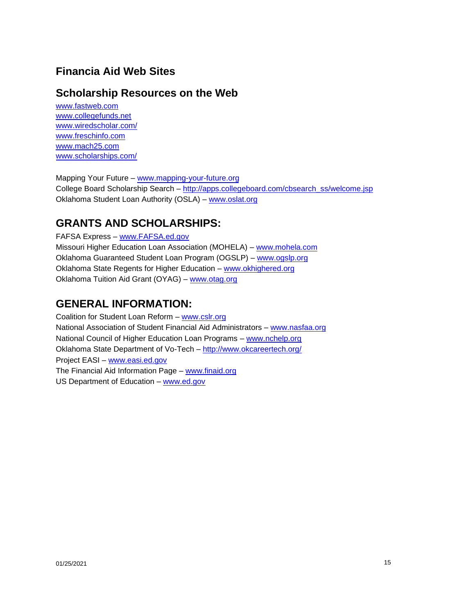# <span id="page-14-0"></span>**Financia Aid Web Sites**

# <span id="page-14-1"></span>**Scholarship Resources on the Web**

[www.fastweb.com](http://www.fastweb.com/) [www.collegefunds.net](http://www.collegefunds.net/) [www.wiredscholar.com/](http://www.wiredscholar.com/) [www.freschinfo.com](http://www.freschinfo.com/) [www.mach25.com](http://www.mach25.com/) [www.scholarships.com/](http://www.scholarships.com/)

Mapping Your Future – [www.mapping-your-future.org](http://www.mapping-your-future.org/) College Board Scholarship Search – [http://apps.collegeboard.com/cbsearch\\_ss/welcome.jsp](http://www.collegeboard.org/) Oklahoma Student Loan Authority (OSLA) – [www.oslat.org](http://www.oslat.org/)

# **GRANTS AND SCHOLARSHIPS:**

FAFSA Express – [www.FAFSA.ed.gov](http://www.fafsa.ed.gov/)

Missouri Higher Education Loan Association (MOHELA) – [www.mohela.com](http://www.mohela.com/) Oklahoma Guaranteed Student Loan Program (OGSLP) – [www.ogslp.org](http://www.ogslp.org/) Oklahoma State Regents for Higher Education – [www.okhighered.org](http://www.okhighered.org/) Oklahoma Tuition Aid Grant (OYAG) – [www.otag.org](http://www.otag.org/)

# **GENERAL INFORMATION:**

Coalition for Student Loan Reform – [www.cslr.org](http://www.cslr.org/) National Association of Student Financial Aid Administrators - w[ww.nasfaa.org](http://www.nasfaa.org/) National Council of Higher Education Loan Programs – [www.nchelp.org](http://www.nchelp.org/) Oklahoma State Department of Vo-Tech – <http://www.okcareertech.org/> Project EASI – [www.easi.ed.gov](http://www.easi.ed.gov/) The Financial Aid Information Page – [www.finaid.org](http://www.finaid.org/) US Department of Education - [www.ed.gov](http://www.ed.gov/)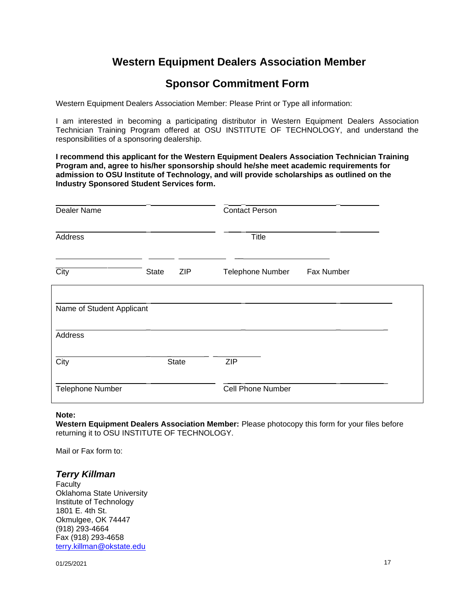# **Western Equipment Dealers Association Member**

# <span id="page-16-0"></span>**Sponsor Commitment Form**

Western Equipment Dealers Association Member: Please Print or Type all information:

I am interested in becoming a participating distributor in Western Equipment Dealers Association Technician Training Program offered at OSU INSTITUTE OF TECHNOLOGY, and understand the responsibilities of a sponsoring dealership.

**I recommend this applicant for the Western Equipment Dealers Association Technician Training Program and, agree to his/her sponsorship should he/she meet academic requirements for admission to OSU Institute of Technology, and will provide scholarships as outlined on the Industry Sponsored Student Services form.**

| Dealer Name               |                            | <b>Contact Person</b>    |            |
|---------------------------|----------------------------|--------------------------|------------|
| Address                   |                            | <b>Title</b>             |            |
| City                      | <b>ZIP</b><br><b>State</b> | <b>Telephone Number</b>  | Fax Number |
| Name of Student Applicant |                            |                          |            |
| Address                   |                            |                          |            |
| City                      | <b>State</b>               | <b>ZIP</b>               |            |
| <b>Telephone Number</b>   |                            | <b>Cell Phone Number</b> |            |

#### **Note:**

**Western Equipment Dealers Association Member:** Please photocopy this form for your files before returning it to OSU INSTITUTE OF TECHNOLOGY.

Mail or Fax form to:

#### *Terry Killman*

**Faculty** Oklahoma State University Institute of Technology 1801 E. 4th St. Okmulgee, OK 74447 (918) 293-4664 Fax (918) 293-4658 [terry.killman@okstate.edu](mailto:terry.killman@okstate.edu)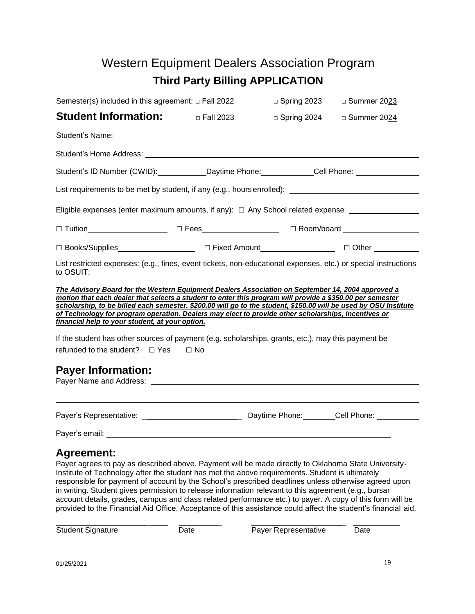# Western Equipment Dealers Association Program **Third Party Billing APPLICATION**

<span id="page-18-0"></span>

| Semester(s) included in this agreement: $\Box$ Fall 2022                                                                                                                                                                                                                                                                                                                                                                                                                                     | □ Spring 2023      | □ Summer 2023 |
|----------------------------------------------------------------------------------------------------------------------------------------------------------------------------------------------------------------------------------------------------------------------------------------------------------------------------------------------------------------------------------------------------------------------------------------------------------------------------------------------|--------------------|---------------|
| Student Information: Detail 2023                                                                                                                                                                                                                                                                                                                                                                                                                                                             | $\Box$ Spring 2024 | □ Summer 2024 |
| Student's Name: Student's Name:                                                                                                                                                                                                                                                                                                                                                                                                                                                              |                    |               |
| Student's Home Address: Note and the students of the students of the students of the students of the students of the students of the students of the students of the students of the students of the students of the students                                                                                                                                                                                                                                                                |                    |               |
| Student's ID Number (CWID): Daytime Phone: Cell Phone: Cell Phone:                                                                                                                                                                                                                                                                                                                                                                                                                           |                    |               |
| List requirements to be met by student, if any (e.g., hours enrolled): _____________________________                                                                                                                                                                                                                                                                                                                                                                                         |                    |               |
| Eligible expenses (enter maximum amounts, if any): □ Any School related expense __________________                                                                                                                                                                                                                                                                                                                                                                                           |                    |               |
|                                                                                                                                                                                                                                                                                                                                                                                                                                                                                              |                    |               |
|                                                                                                                                                                                                                                                                                                                                                                                                                                                                                              |                    |               |
| List restricted expenses: (e.g., fines, event tickets, non-educational expenses, etc.) or special instructions<br>to OSUIT:                                                                                                                                                                                                                                                                                                                                                                  |                    |               |
| The Advisory Board for the Western Equipment Dealers Association on September 14, 2004 approved a<br>motion that each dealer that selects a student to enter this program will provide a \$350.00 per semester<br>scholarship, to be billed each semester. \$200.00 will go to the student, \$150.00 will be used by OSU Institute<br>of Technology for program operation. Dealers may elect to provide other scholarships, incentives or<br>financial help to your student, at your option. |                    |               |
| If the student has other sources of payment (e.g. scholarships, grants, etc.), may this payment be                                                                                                                                                                                                                                                                                                                                                                                           |                    |               |
| refunded to the student? $\Box$ Yes $\Box$ No                                                                                                                                                                                                                                                                                                                                                                                                                                                |                    |               |
| <b>Payer Information:</b>                                                                                                                                                                                                                                                                                                                                                                                                                                                                    |                    |               |
|                                                                                                                                                                                                                                                                                                                                                                                                                                                                                              |                    |               |
|                                                                                                                                                                                                                                                                                                                                                                                                                                                                                              |                    |               |
| <b>Agreement:</b><br>Payer agrees to pay as described above. Payment will be made directly to Oklahoma State University-                                                                                                                                                                                                                                                                                                                                                                     |                    |               |

Institute of Technology after the student has met the above requirements. Student is ultimately responsible for payment of account by the School's prescribed deadlines unless otherwise agreed upon in writing. Student gives permission to release information relevant to this agreement (e.g., bursar account details, grades, campus and class related performance etc.) to payer. A copy of this form will be provided to the Financial Aid Office. Acceptance of this assistance could affect the student's financial aid.

\_ \_ \_ Student Signature Date Date Payer Representative Date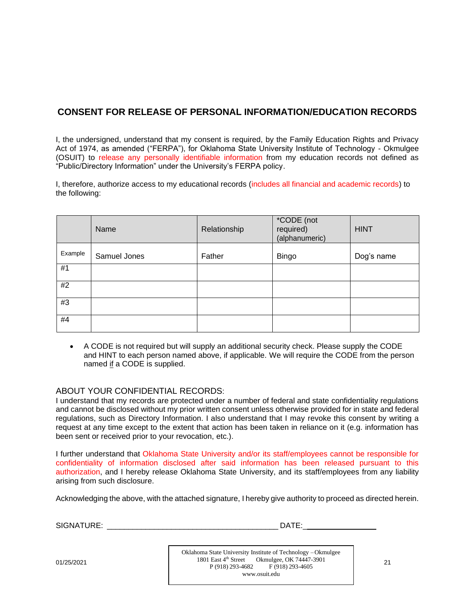# **CONSENT FOR RELEASE OF PERSONAL INFORMATION/EDUCATION RECORDS**

I, the undersigned, understand that my consent is required, by the Family Education Rights and Privacy Act of 1974, as amended ("FERPA"), for Oklahoma State University Institute of Technology - Okmulgee (OSUIT) to release any personally identifiable information from my education records not defined as "Public/Directory Information" under the University's FERPA policy.

I, therefore, authorize access to my educational records (includes all financial and academic records) to the following:

|         | Name         | Relationship | *CODE (not<br>required)<br>(alphanumeric) | <b>HINT</b> |
|---------|--------------|--------------|-------------------------------------------|-------------|
| Example | Samuel Jones | Father       | <b>Bingo</b>                              | Dog's name  |
| #1      |              |              |                                           |             |
| #2      |              |              |                                           |             |
| #3      |              |              |                                           |             |
| #4      |              |              |                                           |             |

• A CODE is not required but will supply an additional security check. Please supply the CODE and HINT to each person named above, if applicable. We will require the CODE from the person named if a CODE is supplied.

#### ABOUT YOUR CONFIDENTIAL RECORDS:

I understand that my records are protected under a number of federal and state confidentiality regulations and cannot be disclosed without my prior written consent unless otherwise provided for in state and federal regulations, such as Directory Information. I also understand that I may revoke this consent by writing a request at any time except to the extent that action has been taken in reliance on it (e.g. information has been sent or received prior to your revocation, etc.).

I further understand that Oklahoma State University and/or its staff/employees cannot be responsible for confidentiality of information disclosed after said information has been released pursuant to this authorization, and I hereby release Oklahoma State University, and its staff/employees from any liability arising from such disclosure.

Acknowledging the above, with the attached signature, I hereby give authority to proceed as directed herein.

SIGNATURE: \_\_\_\_\_\_\_\_\_\_\_\_\_\_\_\_\_\_\_\_\_\_\_\_\_\_\_\_\_\_\_\_\_\_\_\_\_\_\_\_ DATE:\_

Oklahoma State University Institute of Technology –Okmulgee 1801 East 4 th Street Okmulgee, OK 74447-3901  $P(918) 293-4682$  F (918) 293-4605 [www.osuit.edu](http://www.osuit.edu/)